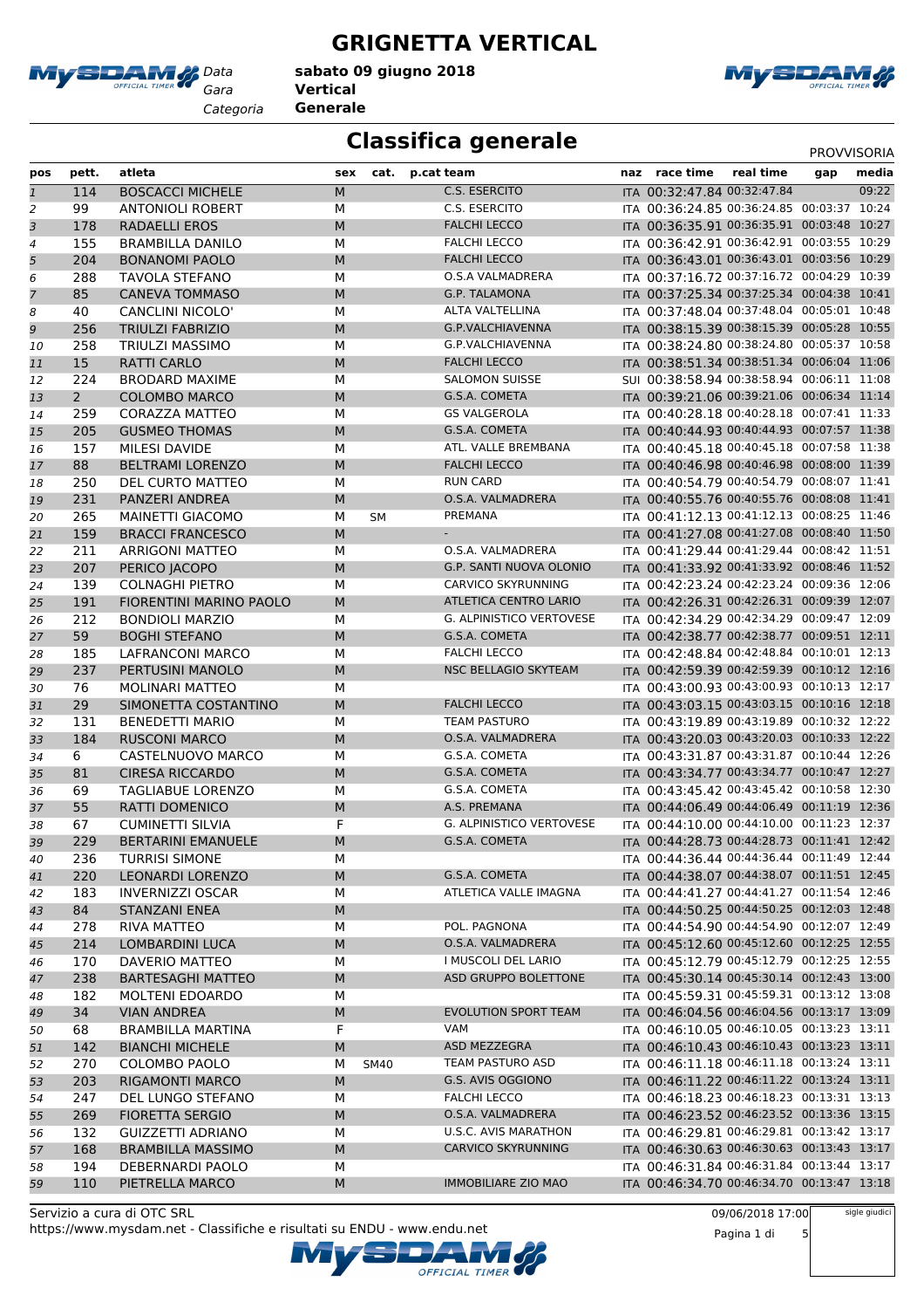

*Categoria* **Generale**

#### **GRIGNETTA VERTICAL**

*Gara* **Vertical sabato 09 giugno 2018**



### **Classifica generale** PROVVISORIA

| pos            | pett.       | atleta                                         | sex       | cat.        | p.cat team                       | naz race time                                                                            | real time | gap | media |
|----------------|-------------|------------------------------------------------|-----------|-------------|----------------------------------|------------------------------------------------------------------------------------------|-----------|-----|-------|
| $\overline{1}$ | 114         | <b>BOSCACCI MICHELE</b>                        | M         |             | C.S. ESERCITO                    | ITA 00:32:47.84 00:32:47.84                                                              |           |     | 09:22 |
| 2              | 99          | <b>ANTONIOLI ROBERT</b>                        | М         |             | C.S. ESERCITO                    | ITA 00:36:24.85 00:36:24.85 00:03:37 10:24                                               |           |     |       |
| 3              | 178         | <b>RADAELLI EROS</b>                           | M         |             | <b>FALCHI LECCO</b>              | ITA 00:36:35.91 00:36:35.91 00:03:48 10:27                                               |           |     |       |
| $\overline{a}$ | 155         | <b>BRAMBILLA DANILO</b>                        | M         |             | <b>FALCHI LECCO</b>              | ITA 00:36:42.91 00:36:42.91 00:03:55 10:29                                               |           |     |       |
| 5              | 204         | <b>BONANOMI PAOLO</b>                          | M         |             | <b>FALCHI LECCO</b>              | ITA 00:36:43.01 00:36:43.01 00:03:56 10:29                                               |           |     |       |
| 6              | 288         | TAVOLA STEFANO                                 | M         |             | <b>O.S.A VALMADRERA</b>          | ITA 00:37:16.72 00:37:16.72 00:04:29 10:39                                               |           |     |       |
| 7              | 85          | <b>CANEVA TOMMASO</b>                          | M         |             | <b>G.P. TALAMONA</b>             | ITA 00:37:25.34 00:37:25.34 00:04:38 10:41                                               |           |     |       |
| 8              | 40          | <b>CANCLINI NICOLO'</b>                        | M         |             | ALTA VALTELLINA                  | ITA 00:37:48.04 00:37:48.04 00:05:01 10:48                                               |           |     |       |
| 9              | 256         | <b>TRIULZI FABRIZIO</b>                        | M         |             | <b>G.P.VALCHIAVENNA</b>          | ITA 00:38:15.39 00:38:15.39 00:05:28 10:55                                               |           |     |       |
| 10             | 258         | <b>TRIULZI MASSIMO</b>                         | M         |             | <b>G.P.VALCHIAVENNA</b>          | ITA 00:38:24.80 00:38:24.80 00:05:37 10:58                                               |           |     |       |
| 11             | 15          | <b>RATTI CARLO</b>                             | M         |             | <b>FALCHI LECCO</b>              | ITA 00:38:51.34 00:38:51.34 00:06:04 11:06                                               |           |     |       |
| 12             | 224         | <b>BRODARD MAXIME</b>                          | M         |             | <b>SALOMON SUISSE</b>            | SUI 00:38:58.94 00:38:58.94 00:06:11 11:08                                               |           |     |       |
| 13             | $2^{\circ}$ | <b>COLOMBO MARCO</b>                           | M         |             | G.S.A. COMETA                    | ITA 00:39:21.06 00:39:21.06 00:06:34 11:14                                               |           |     |       |
| 14             | 259         | <b>CORAZZA MATTEO</b>                          | М         |             | <b>GS VALGEROLA</b>              | ITA 00:40:28.18 00:40:28.18 00:07:41 11:33                                               |           |     |       |
| 15             | 205         | <b>GUSMEO THOMAS</b>                           | M         |             | G.S.A. COMETA                    | ITA 00:40:44.93 00:40:44.93 00:07:57 11:38                                               |           |     |       |
| 16             | 157         | <b>MILESI DAVIDE</b>                           | M         |             | ATL. VALLE BREMBANA              | ITA 00:40:45.18 00:40:45.18 00:07:58 11:38                                               |           |     |       |
| 17             | 88          | <b>BELTRAMI LORENZO</b>                        | ${\sf M}$ |             | <b>FALCHI LECCO</b>              | ITA 00:40:46.98 00:40:46.98 00:08:00 11:39                                               |           |     |       |
| 18             | 250         | DEL CURTO MATTEO                               | M         |             | <b>RUN CARD</b>                  | ITA 00:40:54.79 00:40:54.79 00:08:07 11:41                                               |           |     |       |
| 19             | 231         | PANZERI ANDREA                                 | M         |             | O.S.A. VALMADRERA                | ITA 00:40:55.76 00:40:55.76 00:08:08 11:41                                               |           |     |       |
| 20             | 265         | MAINETTI GIACOMO                               | М         | <b>SM</b>   | PREMANA                          | ITA 00:41:12.13 00:41:12.13 00:08:25 11:46                                               |           |     |       |
| 21             | 159         | <b>BRACCI FRANCESCO</b>                        | M         |             |                                  | ITA 00:41:27.08 00:41:27.08 00:08:40 11:50                                               |           |     |       |
| 22             | 211         | <b>ARRIGONI MATTEO</b>                         | M         |             | O.S.A. VALMADRERA                | ITA 00:41:29.44 00:41:29.44 00:08:42 11:51                                               |           |     |       |
| 23             | 207         | PERICO JACOPO                                  | M         |             | G.P. SANTI NUOVA OLONIO          | ITA 00:41:33.92 00:41:33.92 00:08:46 11:52                                               |           |     |       |
| 24             | 139         | <b>COLNAGHI PIETRO</b>                         | М         |             | <b>CARVICO SKYRUNNING</b>        | ITA 00:42:23.24 00:42:23.24 00:09:36 12:06                                               |           |     |       |
| 25             | 191         | <b>FIORENTINI MARINO PAOLO</b>                 | M         |             | <b>ATLETICA CENTRO LARIO</b>     | ITA 00:42:26.31 00:42:26.31 00:09:39 12:07                                               |           |     |       |
| 26             | 212         | <b>BONDIOLI MARZIO</b>                         | М         |             | G. ALPINISTICO VERTOVESE         | ITA 00:42:34.29 00:42:34.29 00:09:47 12:09                                               |           |     |       |
| 27             | 59          | <b>BOGHI STEFANO</b>                           | M         |             | G.S.A. COMETA                    | ITA 00:42:38.77 00:42:38.77 00:09:51 12:11                                               |           |     |       |
| 28             | 185         | LAFRANCONI MARCO                               | M         |             | <b>FALCHI LECCO</b>              | ITA 00:42:48.84 00:42:48.84 00:10:01 12:13                                               |           |     |       |
| 29             | 237         | PERTUSINI MANOLO                               | M         |             | <b>NSC BELLAGIO SKYTEAM</b>      | ITA 00:42:59.39 00:42:59.39 00:10:12 12:16                                               |           |     |       |
| 30             | 76          | <b>MOLINARI MATTEO</b>                         | M         |             |                                  | ITA 00:43:00.93 00:43:00.93 00:10:13 12:17                                               |           |     |       |
| 31             | 29          | SIMONETTA COSTANTINO                           | M         |             | <b>FALCHI LECCO</b>              | ITA 00:43:03.15 00:43:03.15 00:10:16 12:18                                               |           |     |       |
| 32             | 131         | <b>BENEDETTI MARIO</b>                         | M         |             | <b>TEAM PASTURO</b>              | ITA 00:43:19.89 00:43:19.89 00:10:32 12:22                                               |           |     |       |
| 33             | 184         | <b>RUSCONI MARCO</b>                           | M         |             | O.S.A. VALMADRERA                | ITA 00:43:20.03 00:43:20.03 00:10:33 12:22                                               |           |     |       |
| 34             | 6           | CASTELNUOVO MARCO                              | M         |             | G.S.A. COMETA                    | ITA 00:43:31.87 00:43:31.87 00:10:44 12:26                                               |           |     |       |
| 35             | 81          | <b>CIRESA RICCARDO</b>                         | M         |             | G.S.A. COMETA                    | ITA 00:43:34.77 00:43:34.77 00:10:47 12:27                                               |           |     |       |
| 36             | 69          | TAGLIABUE LORENZO                              | М         |             | G.S.A. COMETA                    | ITA 00:43:45.42 00:43:45.42 00:10:58 12:30                                               |           |     |       |
| 37             | 55          | <b>RATTI DOMENICO</b>                          | M         |             | A.S. PREMANA                     | ITA 00:44:06.49 00:44:06.49 00:11:19 12:36                                               |           |     |       |
| 38             | 67          | <b>CUMINETTI SILVIA</b>                        | F         |             | G. ALPINISTICO VERTOVESE         | ITA 00:44:10.00 00:44:10.00 00:11:23 12:37                                               |           |     |       |
| 39             | 229         | <b>BERTARINI EMANUELE</b>                      | M         |             | G.S.A. COMETA                    | ITA 00:44:28.73 00:44:28.73 00:11:41 12:42                                               |           |     |       |
| 40             | 236         | <b>TURRISI SIMONE</b>                          | M         |             |                                  | ITA 00:44:36.44 00:44:36.44 00:11:49 12:44                                               |           |     |       |
| 41             | 220         | <b>LEONARDI LORENZO</b>                        | M         |             | G.S.A. COMETA                    | ITA 00:44:38.07 00:44:38.07 00:11:51 12:45                                               |           |     |       |
| 42             | 183         | <b>INVERNIZZI OSCAR</b>                        | М         |             | ATLETICA VALLE IMAGNA            | ITA 00:44:41.27 00:44:41.27 00:11:54 12:46                                               |           |     |       |
| 43             | 84          | STANZANI ENEA                                  | M         |             | POL. PAGNONA                     | ITA 00:44:50.25 00:44:50.25 00:12:03 12:48<br>ITA 00:44:54.90 00:44:54.90 00:12:07 12:49 |           |     |       |
| 44             | 278         | RIVA MATTEO                                    | М         |             |                                  |                                                                                          |           |     |       |
| 45             | 214         | LOMBARDINI LUCA                                | M         |             | O.S.A. VALMADRERA                | ITA 00:45:12.60 00:45:12.60 00:12:25 12:55                                               |           |     |       |
| 46             | 170         | <b>DAVERIO MATTEO</b>                          | М         |             | I MUSCOLI DEL LARIO              | ITA 00:45:12.79 00:45:12.79 00:12:25 12:55<br>ITA 00:45:30.14 00:45:30.14 00:12:43 13:00 |           |     |       |
| 47             | 238         | <b>BARTESAGHI MATTEO</b>                       | M         |             | <b>ASD GRUPPO BOLETTONE</b>      | ITA 00:45:59.31 00:45:59.31 00:13:12 13:08                                               |           |     |       |
| 48             | 182         | <b>MOLTENI EDOARDO</b>                         | М         |             | <b>EVOLUTION SPORT TEAM</b>      | ITA 00:46:04.56 00:46:04.56 00:13:17 13:09                                               |           |     |       |
| 49             | 34          | <b>VIAN ANDREA</b>                             | M<br>F    |             |                                  | ITA 00:46:10.05 00:46:10.05 00:13:23 13:11                                               |           |     |       |
| 50             | 68          | BRAMBILLA MARTINA                              |           |             | VAM                              | ITA 00:46:10.43 00:46:10.43 00:13:23 13:11                                               |           |     |       |
| 51             | 142         | <b>BIANCHI MICHELE</b><br><b>COLOMBO PAOLO</b> | M         |             | ASD MEZZEGRA<br>TEAM PASTURO ASD | ITA 00:46:11.18 00:46:11.18 00:13:24 13:11                                               |           |     |       |
| 52             | 270         |                                                | М<br>M    | <b>SM40</b> | G.S. AVIS OGGIONO                | ITA 00:46:11.22 00:46:11.22 00:13:24 13:11                                               |           |     |       |
| 53             | 203<br>247  | <b>RIGAMONTI MARCO</b><br>DEL LUNGO STEFANO    | М         |             | <b>FALCHI LECCO</b>              | ITA 00:46:18.23 00:46:18.23 00:13:31 13:13                                               |           |     |       |
| 54             |             | <b>FIORETTA SERGIO</b>                         | M         |             | O.S.A. VALMADRERA                | ITA 00:46:23.52 00:46:23.52 00:13:36 13:15                                               |           |     |       |
| 55             | 269<br>132  | GUIZZETTI ADRIANO                              | М         |             | U.S.C. AVIS MARATHON             | ITA 00:46:29.81 00:46:29.81 00:13:42 13:17                                               |           |     |       |
| 56<br>57       | 168         | <b>BRAMBILLA MASSIMO</b>                       | M         |             | CARVICO SKYRUNNING               | ITA 00:46:30.63 00:46:30.63 00:13:43 13:17                                               |           |     |       |
|                | 194         | DEBERNARDI PAOLO                               | М         |             |                                  | ITA 00:46:31.84 00:46:31.84 00:13:44 13:17                                               |           |     |       |
| 58<br>59       | 110         | PIETRELLA MARCO                                | M         |             | <b>IMMOBILIARE ZIO MAO</b>       | ITA 00:46:34.70 00:46:34.70 00:13:47 13:18                                               |           |     |       |
|                |             |                                                |           |             |                                  |                                                                                          |           |     |       |

OFFICIAL TIMER

https://www.mysdam.net - Classifiche e risultati su ENDU - www.endu.net Servizio a cura di OTC SRL

09/06/2018 17:00

Pagina 1 di 5

sigle giudici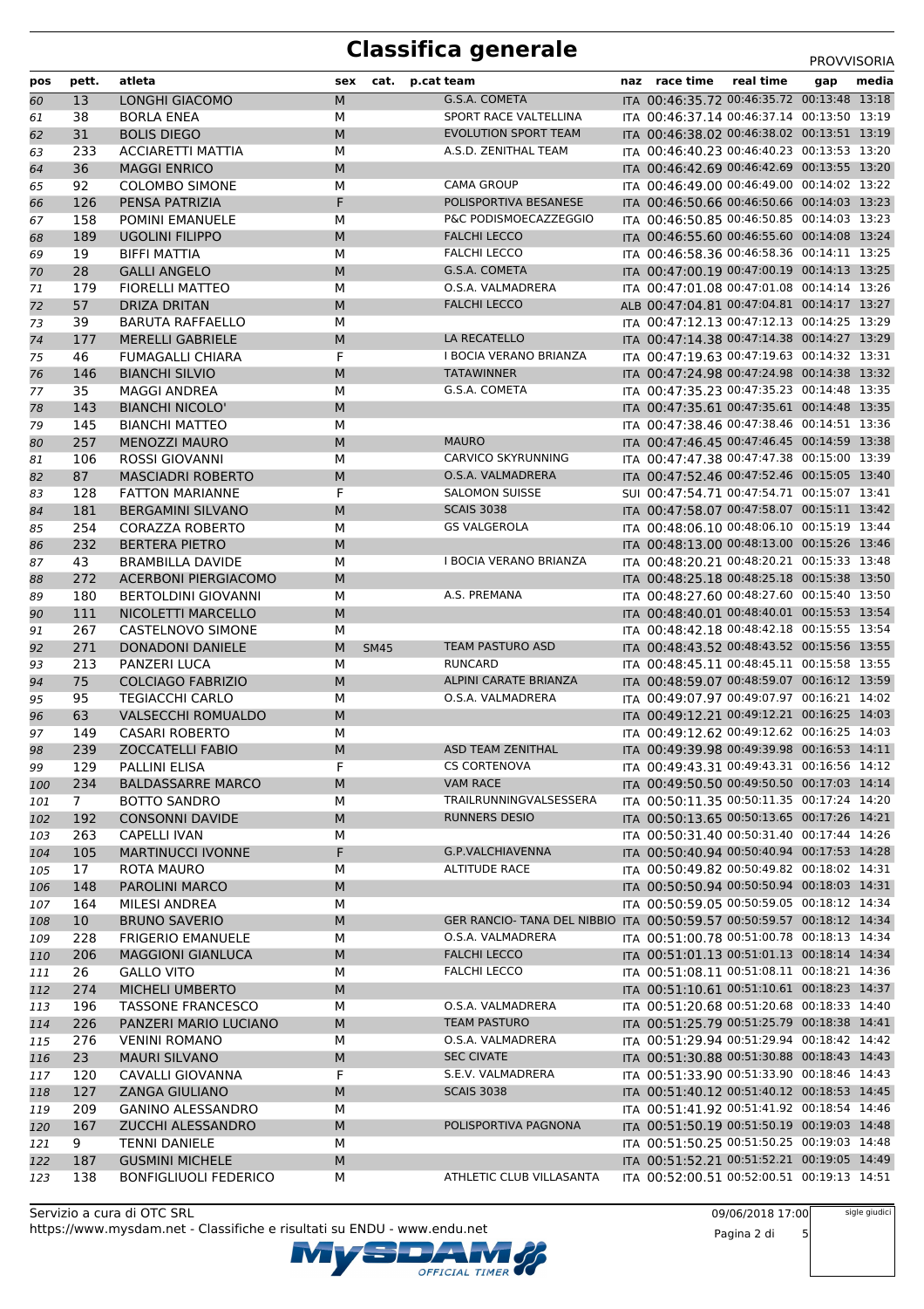# **Classifica generale** PROVVISORIA

| pos        | pett.          | atleta                                          | sex            | cat.        | p.cat team                                                                                  | naz race time                                                                            | real time | gap | media |
|------------|----------------|-------------------------------------------------|----------------|-------------|---------------------------------------------------------------------------------------------|------------------------------------------------------------------------------------------|-----------|-----|-------|
| 60         | 13             | <b>LONGHI GIACOMO</b>                           | M              |             | G.S.A. COMETA                                                                               | ITA 00:46:35.72 00:46:35.72 00:13:48 13:18                                               |           |     |       |
| 61         | 38             | <b>BORLA ENEA</b>                               | M              |             | SPORT RACE VALTELLINA                                                                       | ITA 00:46:37.14 00:46:37.14 00:13:50 13:19                                               |           |     |       |
| 62         | 31             | <b>BOLIS DIEGO</b>                              | M              |             | <b>EVOLUTION SPORT TEAM</b>                                                                 | ITA 00:46:38.02 00:46:38.02 00:13:51 13:19                                               |           |     |       |
| 63         | 233            | <b>ACCIARETTI MATTIA</b>                        | M              |             | A.S.D. ZENITHAL TEAM                                                                        | ITA 00:46:40.23 00:46:40.23 00:13:53 13:20                                               |           |     |       |
| 64         | 36             | <b>MAGGI ENRICO</b>                             | ${\sf M}$      |             |                                                                                             | ITA 00:46:42.69 00:46:42.69 00:13:55 13:20                                               |           |     |       |
| 65         | 92             | <b>COLOMBO SIMONE</b>                           | M              |             | <b>CAMA GROUP</b>                                                                           | ITA 00:46:49.00 00:46:49.00 00:14:02 13:22                                               |           |     |       |
| 66         | 126            | PENSA PATRIZIA                                  | F              |             | POLISPORTIVA BESANESE                                                                       | ITA 00:46:50.66 00:46:50.66 00:14:03 13:23                                               |           |     |       |
| 67         | 158            | <b>POMINI EMANUELE</b>                          | M              |             | P&C PODISMOECAZZEGGIO                                                                       | ITA 00:46:50.85 00:46:50.85 00:14:03 13:23                                               |           |     |       |
| 68         | 189            | <b>UGOLINI FILIPPO</b>                          | M              |             | <b>FALCHI LECCO</b>                                                                         | ITA 00:46:55.60 00:46:55.60 00:14:08 13:24                                               |           |     |       |
| 69         | 19             | <b>BIFFI MATTIA</b>                             | M              |             | <b>FALCHI LECCO</b>                                                                         | ITA 00:46:58.36 00:46:58.36 00:14:11 13:25                                               |           |     |       |
| 70         | 28             | <b>GALLI ANGELO</b>                             | M              |             | G.S.A. COMETA                                                                               | ITA 00:47:00.19 00:47:00.19 00:14:13 13:25                                               |           |     |       |
| 71         | 179            | <b>FIORELLI MATTEO</b>                          | M              |             | O.S.A. VALMADRERA                                                                           | ITA 00:47:01.08 00:47:01.08 00:14:14 13:26                                               |           |     |       |
| 72         | 57             | <b>DRIZA DRITAN</b>                             | M              |             | <b>FALCHI LECCO</b>                                                                         | ALB 00:47:04.81 00:47:04.81 00:14:17 13:27                                               |           |     |       |
| 73         | 39             | <b>BARUTA RAFFAELLO</b>                         | M              |             |                                                                                             | ITA 00:47:12.13 00:47:12.13 00:14:25 13:29                                               |           |     |       |
| 74         | 177            | <b>MERELLI GABRIELE</b>                         | M              |             | LA RECATELLO                                                                                | ITA 00:47:14.38 00:47:14.38 00:14:27 13:29                                               |           |     |       |
| 75         | 46             | FUMAGALLI CHIARA                                | F              |             | I BOCIA VERANO BRIANZA                                                                      | ITA 00:47:19.63 00:47:19.63 00:14:32 13:31                                               |           |     |       |
| 76         | 146            | <b>BIANCHI SILVIO</b>                           | M              |             | <b>TATAWINNER</b>                                                                           | ITA 00:47:24.98 00:47:24.98 00:14:38 13:32                                               |           |     |       |
| 77         | 35             | <b>MAGGI ANDREA</b>                             | M              |             | G.S.A. COMETA                                                                               | ITA 00:47:35.23 00:47:35.23 00:14:48 13:35                                               |           |     |       |
| 78         | 143            | <b>BIANCHI NICOLO'</b>                          | M              |             |                                                                                             | ITA 00:47:35.61 00:47:35.61 00:14:48 13:35                                               |           |     |       |
| 79         | 145            | <b>BIANCHI MATTEO</b>                           | M              |             |                                                                                             | ITA 00:47:38.46 00:47:38.46 00:14:51 13:36                                               |           |     |       |
| 80         | 257            | <b>MENOZZI MAURO</b>                            | M              |             | <b>MAURO</b>                                                                                | ITA 00:47:46.45 00:47:46.45 00:14:59 13:38                                               |           |     |       |
| 81         | 106            | <b>ROSSI GIOVANNI</b>                           | M              |             | <b>CARVICO SKYRUNNING</b>                                                                   | ITA 00:47:47.38 00:47:47.38 00:15:00 13:39                                               |           |     |       |
| 82         | 87             | <b>MASCIADRI ROBERTO</b>                        | M              |             | O.S.A. VALMADRERA<br><b>SALOMON SUISSE</b>                                                  | ITA 00:47:52.46 00:47:52.46 00:15:05 13:40                                               |           |     |       |
| 83         | 128            | <b>FATTON MARIANNE</b>                          | F              |             |                                                                                             | SUI 00:47:54.71 00:47:54.71 00:15:07 13:41                                               |           |     |       |
| 84         | 181<br>254     | <b>BERGAMINI SILVANO</b>                        | M              |             | <b>SCAIS 3038</b><br><b>GS VALGEROLA</b>                                                    | ITA 00:47:58.07 00:47:58.07 00:15:11 13:42<br>ITA 00:48:06.10 00:48:06.10 00:15:19 13:44 |           |     |       |
| 85         | 232            | <b>CORAZZA ROBERTO</b><br><b>BERTERA PIETRO</b> | M<br>M         |             |                                                                                             | ITA 00:48:13.00 00:48:13.00 00:15:26 13:46                                               |           |     |       |
| 86<br>87   | 43             | <b>BRAMBILLA DAVIDE</b>                         | м              |             | I BOCIA VERANO BRIANZA                                                                      | ITA 00:48:20.21 00:48:20.21 00:15:33 13:48                                               |           |     |       |
| 88         | 272            | <b>ACERBONI PIERGIACOMO</b>                     | M              |             |                                                                                             | ITA 00:48:25.18 00:48:25.18 00:15:38 13:50                                               |           |     |       |
| 89         | 180            | <b>BERTOLDINI GIOVANNI</b>                      | M              |             | A.S. PREMANA                                                                                | ITA 00:48:27.60 00:48:27.60 00:15:40 13:50                                               |           |     |       |
| 90         | 111            | NICOLETTI MARCELLO                              | M              |             |                                                                                             | ITA 00:48:40.01 00:48:40.01 00:15:53 13:54                                               |           |     |       |
| 91         | 267            | <b>CASTELNOVO SIMONE</b>                        | М              |             |                                                                                             | ITA 00:48:42.18 00:48:42.18 00:15:55 13:54                                               |           |     |       |
| 92         | 271            | <b>DONADONI DANIELE</b>                         | M              | <b>SM45</b> | <b>TEAM PASTURO ASD</b>                                                                     | ITA 00:48:43.52 00:48:43.52 00:15:56 13:55                                               |           |     |       |
| 93         | 213            | <b>PANZERI LUCA</b>                             | M              |             | <b>RUNCARD</b>                                                                              | ITA 00:48:45.11 00:48:45.11 00:15:58 13:55                                               |           |     |       |
| 94         | 75             | <b>COLCIAGO FABRIZIO</b>                        | M              |             | <b>ALPINI CARATE BRIANZA</b>                                                                | ITA 00:48:59.07 00:48:59.07 00:16:12 13:59                                               |           |     |       |
| 95         | 95             | <b>TEGIACCHI CARLO</b>                          | M              |             | O.S.A. VALMADRERA                                                                           | ITA 00:49:07.97 00:49:07.97 00:16:21 14:02                                               |           |     |       |
| 96         | 63             | <b>VALSECCHI ROMUALDO</b>                       | M              |             |                                                                                             | ITA 00:49:12.21 00:49:12.21 00:16:25 14:03                                               |           |     |       |
| 97         | 149            | <b>CASARI ROBERTO</b>                           | M              |             |                                                                                             | ITA 00:49:12.62 00:49:12.62 00:16:25 14:03                                               |           |     |       |
| 98         | 239            | <b>ZOCCATELLI FABIO</b>                         | M              |             | <b>ASD TEAM ZENITHAL</b>                                                                    | ITA 00:49:39.98 00:49:39.98 00:16:53 14:11                                               |           |     |       |
| 99         | 129            | PALLINI ELISA                                   | F              |             | <b>CS CORTENOVA</b>                                                                         | ITA 00:49:43.31 00:49:43.31 00:16:56 14:12                                               |           |     |       |
| 100        | 234            | <b>BALDASSARRE MARCO</b>                        | M              |             | <b>VAM RACE</b>                                                                             | ITA 00:49:50.50 00:49:50.50 00:17:03 14:14                                               |           |     |       |
| 101        | 7 <sup>7</sup> | <b>BOTTO SANDRO</b>                             | M              |             | TRAILRUNNINGVALSESSERA                                                                      | ITA 00:50:11.35 00:50:11.35 00:17:24 14:20                                               |           |     |       |
| 102        | 192            | <b>CONSONNI DAVIDE</b>                          | M              |             | <b>RUNNERS DESIO</b>                                                                        | ITA 00:50:13.65 00:50:13.65 00:17:26 14:21                                               |           |     |       |
| 103        | 263            | <b>CAPELLI IVAN</b>                             | М              |             |                                                                                             | ITA 00:50:31.40 00:50:31.40 00:17:44 14:26                                               |           |     |       |
| 104        | 105            | <b>MARTINUCCI IVONNE</b>                        | F              |             | G.P.VALCHIAVENNA                                                                            | ITA 00:50:40.94 00:50:40.94 00:17:53 14:28                                               |           |     |       |
| 105        | 17             | ROTA MAURO                                      | М              |             | ALTITUDE RACE                                                                               | ITA 00:50:49.82 00:50:49.82 00:18:02 14:31                                               |           |     |       |
| 106        | 148            | PAROLINI MARCO                                  | M              |             |                                                                                             | ITA 00:50:50.94 00:50:50.94 00:18:03 14:31                                               |           |     |       |
| 107        | 164            | MILESI ANDREA                                   | М              |             |                                                                                             | ITA 00:50:59.05 00:50:59.05 00:18:12 14:34                                               |           |     |       |
| 108        | 10             | <b>BRUNO SAVERIO</b>                            | M              |             | GER RANCIO- TANA DEL NIBBIO ITA 00:50:59.57 00:50:59.57 00:18:12 14:34<br>O.S.A. VALMADRERA | ITA 00:51:00.78 00:51:00.78 00:18:13 14:34                                               |           |     |       |
| 109        | 228            | <b>FRIGERIO EMANUELE</b>                        | M              |             | <b>FALCHI LECCO</b>                                                                         | ITA 00:51:01.13 00:51:01.13 00:18:14 14:34                                               |           |     |       |
| 110        | 206<br>26      | <b>MAGGIONI GIANLUCA</b><br><b>GALLO VITO</b>   | ${\sf M}$<br>М |             | <b>FALCHI LECCO</b>                                                                         | ITA 00:51:08.11 00:51:08.11 00:18:21 14:36                                               |           |     |       |
| 111        | 274            | MICHELI UMBERTO                                 | M              |             |                                                                                             | ITA 00:51:10.61 00:51:10.61 00:18:23 14:37                                               |           |     |       |
| 112<br>113 | 196            | <b>TASSONE FRANCESCO</b>                        | М              |             | O.S.A. VALMADRERA                                                                           | ITA 00:51:20.68 00:51:20.68 00:18:33 14:40                                               |           |     |       |
| 114        | 226            | PANZERI MARIO LUCIANO                           | M              |             | <b>TEAM PASTURO</b>                                                                         | ITA 00:51:25.79 00:51:25.79 00:18:38 14:41                                               |           |     |       |
| 115        | 276            | <b>VENINI ROMANO</b>                            | М              |             | O.S.A. VALMADRERA                                                                           | ITA 00:51:29.94 00:51:29.94 00:18:42 14:42                                               |           |     |       |
| 116        | 23             | <b>MAURI SILVANO</b>                            | ${\sf M}$      |             | <b>SEC CIVATE</b>                                                                           | ITA 00:51:30.88 00:51:30.88 00:18:43 14:43                                               |           |     |       |
| 117        | 120            | CAVALLI GIOVANNA                                | F              |             | S.E.V. VALMADRERA                                                                           | ITA 00:51:33.90 00:51:33.90 00:18:46 14:43                                               |           |     |       |
| 118        | 127            | <b>ZANGA GIULIANO</b>                           | M              |             | <b>SCAIS 3038</b>                                                                           | ITA 00:51:40.12 00:51:40.12 00:18:53 14:45                                               |           |     |       |
| 119        | 209            | <b>GANINO ALESSANDRO</b>                        | М              |             |                                                                                             | ITA 00:51:41.92 00:51:41.92 00:18:54 14:46                                               |           |     |       |
| 120        | 167            | ZUCCHI ALESSANDRO                               | M              |             | POLISPORTIVA PAGNONA                                                                        | ITA 00:51:50.19 00:51:50.19 00:19:03 14:48                                               |           |     |       |
| 121        | 9              | <b>TENNI DANIELE</b>                            | М              |             |                                                                                             | ITA 00:51:50.25 00:51:50.25 00:19:03 14:48                                               |           |     |       |
| 122        | 187            | <b>GUSMINI MICHELE</b>                          | ${\sf M}$      |             |                                                                                             | ITA 00:51:52.21 00:51:52.21 00:19:05 14:49                                               |           |     |       |
| 123        | 138            | <b>BONFIGLIUOLI FEDERICO</b>                    | М              |             | ATHLETIC CLUB VILLASANTA                                                                    | ITA 00:52:00.51 00:52:00.51 00:19:13 14:51                                               |           |     |       |

Servizio a cura di OTC SRL https://www.mysdam.net - Classifiche e risultati su ENDU - www.endu.net OFFICIAL TIMER 09/06/2018 17:00

Pagina 2 di 5

sigle giudici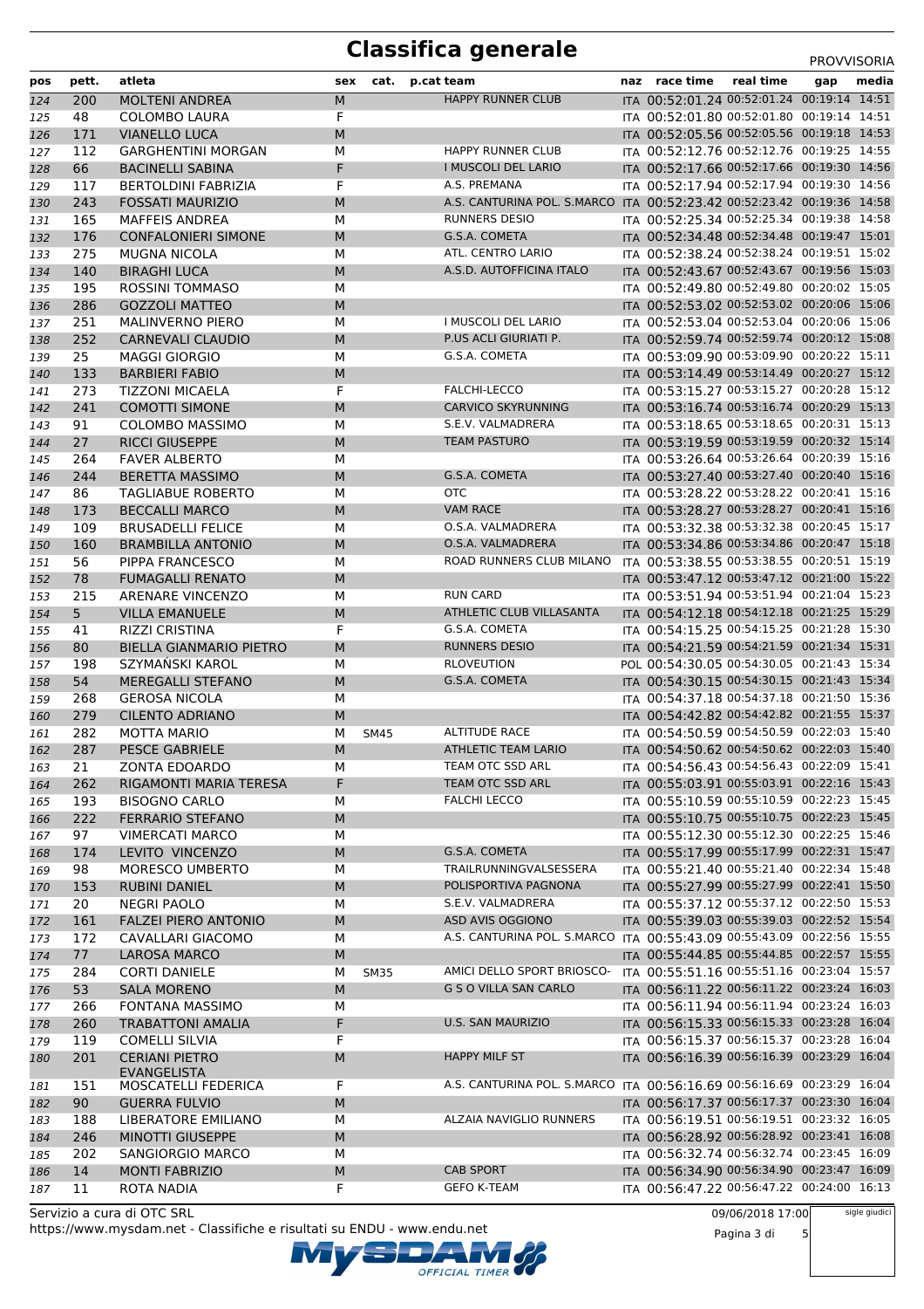### **Classifica generale** PROVVISORIA

|     |                |                                |     |             |                                                                        |                                            |     | <b>FNUVVIJUNIA</b> |
|-----|----------------|--------------------------------|-----|-------------|------------------------------------------------------------------------|--------------------------------------------|-----|--------------------|
| pos | pett.          | atleta                         | sex |             | cat. p.cat team                                                        | naz race time real time                    | gap | media              |
| 124 | 200            | <b>MOLTENI ANDREA</b>          | M   |             | <b>HAPPY RUNNER CLUB</b>                                               | ITA 00:52:01.24 00:52:01.24 00:19:14 14:51 |     |                    |
| 125 | 48             | <b>COLOMBO LAURA</b>           | F   |             |                                                                        | ITA 00:52:01.80 00:52:01.80 00:19:14 14:51 |     |                    |
| 126 | 171            | <b>VIANELLO LUCA</b>           | M   |             |                                                                        | ITA 00:52:05.56 00:52:05.56 00:19:18 14:53 |     |                    |
| 127 | 112            | <b>GARGHENTINI MORGAN</b>      | M   |             | <b>HAPPY RUNNER CLUB</b>                                               | ITA 00:52:12.76 00:52:12.76 00:19:25 14:55 |     |                    |
| 128 | 66             | <b>BACINELLI SABINA</b>        | F   |             | I MUSCOLI DEL LARIO                                                    | ITA 00:52:17.66 00:52:17.66 00:19:30 14:56 |     |                    |
| 129 | 117            | <b>BERTOLDINI FABRIZIA</b>     | F   |             | A.S. PREMANA                                                           | ITA 00:52:17.94 00:52:17.94 00:19:30 14:56 |     |                    |
| 130 | 243            | <b>FOSSATI MAURIZIO</b>        | M   |             | A.S. CANTURINA POL. S.MARCO ITA 00:52:23.42 00:52:23.42 00:19:36 14:58 |                                            |     |                    |
| 131 | 165            | <b>MAFFEIS ANDREA</b>          | М   |             | <b>RUNNERS DESIO</b>                                                   | ITA 00:52:25.34 00:52:25.34 00:19:38 14:58 |     |                    |
| 132 | 176            | <b>CONFALONIERI SIMONE</b>     | M   |             | G.S.A. COMETA                                                          | ITA 00:52:34.48 00:52:34.48 00:19:47 15:01 |     |                    |
| 133 | 275            | <b>MUGNA NICOLA</b>            | М   |             | ATL. CENTRO LARIO                                                      | ITA 00:52:38.24 00:52:38.24 00:19:51 15:02 |     |                    |
| 134 | 140            | <b>BIRAGHI LUCA</b>            | M   |             | A.S.D. AUTOFFICINA ITALO                                               | ITA 00:52:43.67 00:52:43.67 00:19:56 15:03 |     |                    |
| 135 | 195            | <b>ROSSINI TOMMASO</b>         | M   |             |                                                                        | ITA 00:52:49.80 00:52:49.80 00:20:02 15:05 |     |                    |
| 136 | 286            | <b>GOZZOLI MATTEO</b>          | M   |             |                                                                        | ITA 00:52:53.02 00:52:53.02 00:20:06 15:06 |     |                    |
| 137 | 251            | <b>MALINVERNO PIERO</b>        | М   |             | I MUSCOLI DEL LARIO                                                    | ITA 00:52:53.04 00:52:53.04 00:20:06 15:06 |     |                    |
| 138 | 252            | <b>CARNEVALI CLAUDIO</b>       | M   |             | P.US ACLI GIURIATI P.                                                  | ITA 00:52:59.74 00:52:59.74 00:20:12 15:08 |     |                    |
| 139 | 25             | <b>MAGGI GIORGIO</b>           | М   |             | G.S.A. COMETA                                                          | ITA 00:53:09.90 00:53:09.90 00:20:22 15:11 |     |                    |
| 140 | 133            | <b>BARBIERI FABIO</b>          | M   |             |                                                                        | ITA 00:53:14.49 00:53:14.49 00:20:27 15:12 |     |                    |
| 141 | 273            | <b>TIZZONI MICAELA</b>         | F   |             | FALCHI-LECCO                                                           | ITA 00:53:15.27 00:53:15.27 00:20:28 15:12 |     |                    |
| 142 | 241            | <b>COMOTTI SIMONE</b>          | M   |             | <b>CARVICO SKYRUNNING</b>                                              | ITA 00:53:16.74 00:53:16.74 00:20:29 15:13 |     |                    |
| 143 | 91             | <b>COLOMBO MASSIMO</b>         | М   |             | S.E.V. VALMADRERA                                                      | ITA 00:53:18.65 00:53:18.65 00:20:31 15:13 |     |                    |
| 144 | 27             | <b>RICCI GIUSEPPE</b>          | M   |             | <b>TEAM PASTURO</b>                                                    | ITA 00:53:19.59 00:53:19.59 00:20:32 15:14 |     |                    |
| 145 | 264            | <b>FAVER ALBERTO</b>           | М   |             |                                                                        | ITA 00:53:26.64 00:53:26.64 00:20:39 15:16 |     |                    |
| 146 | 244            | <b>BERETTA MASSIMO</b>         | M   |             | G.S.A. COMETA                                                          | ITA 00:53:27.40 00:53:27.40 00:20:40 15:16 |     |                    |
| 147 | 86             | <b>TAGLIABUE ROBERTO</b>       | М   |             | <b>OTC</b>                                                             | ITA 00:53:28.22 00:53:28.22 00:20:41 15:16 |     |                    |
| 148 | 173            | <b>BECCALLI MARCO</b>          | M   |             | <b>VAM RACE</b>                                                        | ITA 00:53:28.27 00:53:28.27 00:20:41 15:16 |     |                    |
| 149 | 109            | <b>BRUSADELLI FELICE</b>       | М   |             | O.S.A. VALMADRERA                                                      | ITA 00:53:32.38 00:53:32.38 00:20:45 15:17 |     |                    |
| 150 | 160            | <b>BRAMBILLA ANTONIO</b>       | M   |             | O.S.A. VALMADRERA                                                      | ITA 00:53:34.86 00:53:34.86 00:20:47 15:18 |     |                    |
| 151 | 56             | PIPPA FRANCESCO                | М   |             | ROAD RUNNERS CLUB MILANO                                               | ITA 00:53:38.55 00:53:38.55 00:20:51 15:19 |     |                    |
| 152 | 78             | <b>FUMAGALLI RENATO</b>        | M   |             |                                                                        | ITA 00:53:47.12 00:53:47.12 00:21:00 15:22 |     |                    |
| 153 | 215            | ARENARE VINCENZO               | М   |             | <b>RUN CARD</b>                                                        | ITA 00:53:51.94 00:53:51.94 00:21:04 15:23 |     |                    |
| 154 | 5 <sub>1</sub> | <b>VILLA EMANUELE</b>          | M   |             | ATHLETIC CLUB VILLASANTA                                               | ITA 00:54:12.18 00:54:12.18 00:21:25 15:29 |     |                    |
| 155 | 41             | <b>RIZZI CRISTINA</b>          | F   |             | G.S.A. COMETA                                                          | ITA 00:54:15.25 00:54:15.25 00:21:28 15:30 |     |                    |
| 156 | 80             | <b>BIELLA GIANMARIO PIETRO</b> | M   |             | <b>RUNNERS DESIO</b>                                                   | ITA 00:54:21.59 00:54:21.59 00:21:34 15:31 |     |                    |
| 157 | 198            | SZYMAŃSKI KAROL                | М   |             | <b>RLOVEUTION</b>                                                      | POL 00:54:30.05 00:54:30.05 00:21:43 15:34 |     |                    |
| 158 | 54             | <b>MEREGALLI STEFANO</b>       | M   |             | G.S.A. COMETA                                                          | ITA 00:54:30.15 00:54:30.15 00:21:43 15:34 |     |                    |
| 159 | 268            | <b>GEROSA NICOLA</b>           | М   |             |                                                                        | ITA 00:54:37.18 00:54:37.18 00:21:50 15:36 |     |                    |
| 160 | 279            | <b>CILENTO ADRIANO</b>         | M   |             |                                                                        | ITA 00:54:42.82 00:54:42.82 00:21:55 15:37 |     |                    |
|     | 282            | <b>MOTTA MARIO</b>             | М   |             | <b>ALTITUDE RACE</b>                                                   | ITA 00:54:50.59 00:54:50.59 00:22:03 15:40 |     |                    |
| 161 | 287            | <b>PESCE GABRIELE</b>          | M   | <b>SM45</b> | ATHLETIC TEAM LARIO                                                    | ITA 00:54:50.62 00:54:50.62 00:22:03 15:40 |     |                    |
| 162 | 21             | <b>ZONTA EDOARDO</b>           | М   |             | TEAM OTC SSD ARL                                                       | ITA 00:54:56.43 00:54:56.43 00:22:09 15:41 |     |                    |
| 163 |                | <b>RIGAMONTI MARIA TERESA</b>  | F   |             | TEAM OTC SSD ARL                                                       | ITA 00:55:03.91 00:55:03.91 00:22:16 15:43 |     |                    |
| 164 | 262            |                                |     |             | <b>FALCHI LECCO</b>                                                    | ITA 00:55:10.59 00:55:10.59 00:22:23 15:45 |     |                    |
| 165 | 193            | <b>BISOGNO CARLO</b>           | М   |             |                                                                        | ITA 00:55:10.75 00:55:10.75 00:22:23 15:45 |     |                    |
| 166 | 222            | <b>FERRARIO STEFANO</b>        | M   |             |                                                                        | ITA 00:55:12.30 00:55:12.30 00:22:25 15:46 |     |                    |
| 167 | 97             | <b>VIMERCATI MARCO</b>         | М   |             | G.S.A. COMETA                                                          | ITA 00:55:17.99 00:55:17.99 00:22:31 15:47 |     |                    |
| 168 | 174            | LEVITO VINCENZO                | M   |             | TRAILRUNNINGVALSESSERA                                                 | ITA 00:55:21.40 00:55:21.40 00:22:34 15:48 |     |                    |
| 169 | 98             | MORESCO UMBERTO                | М   |             | POLISPORTIVA PAGNONA                                                   | ITA 00:55:27.99 00:55:27.99 00:22:41 15:50 |     |                    |
| 170 | 153            | <b>RUBINI DANIEL</b>           | M   |             |                                                                        |                                            |     |                    |
| 171 | 20             | <b>NEGRI PAOLO</b>             | М   |             | S.E.V. VALMADRERA                                                      | ITA 00:55:37.12 00:55:37.12 00:22:50 15:53 |     |                    |
| 172 | 161            | <b>FALZEI PIERO ANTONIO</b>    | M   |             | ASD AVIS OGGIONO                                                       | ITA 00:55:39.03 00:55:39.03 00:22:52 15:54 |     |                    |
| 173 | 172            | CAVALLARI GIACOMO              | М   |             | A.S. CANTURINA POL. S.MARCO ITA 00:55:43.09 00:55:43.09 00:22:56 15:55 |                                            |     |                    |
| 174 | 77             | <b>LAROSA MARCO</b>            | M   |             |                                                                        | ITA 00:55:44.85 00:55:44.85 00:22:57 15:55 |     |                    |
| 175 | 284            | <b>CORTI DANIELE</b>           | М   | <b>SM35</b> | AMICI DELLO SPORT BRIOSCO-                                             | ITA 00:55:51.16 00:55:51.16 00:23:04 15:57 |     |                    |
| 176 | 53             | <b>SALA MORENO</b>             | M   |             | <b>G S O VILLA SAN CARLO</b>                                           | ITA 00:56:11.22 00:56:11.22 00:23:24 16:03 |     |                    |
| 177 | 266            | <b>FONTANA MASSIMO</b>         | М   |             |                                                                        | ITA 00:56:11.94 00:56:11.94 00:23:24 16:03 |     |                    |
| 178 | 260            | <b>TRABATTONI AMALIA</b>       | F   |             | U.S. SAN MAURIZIO                                                      | ITA 00:56:15.33 00:56:15.33 00:23:28 16:04 |     |                    |
| 179 | 119            | <b>COMELLI SILVIA</b>          | F   |             |                                                                        | ITA 00:56:15.37 00:56:15.37 00:23:28 16:04 |     |                    |
| 180 | 201            | <b>CERIANI PIETRO</b>          | M   |             | <b>HAPPY MILF ST</b>                                                   | ITA 00:56:16.39 00:56:16.39 00:23:29 16:04 |     |                    |
|     |                | <b>EVANGELISTA</b>             |     |             | A.S. CANTURINA POL. S.MARCO ITA 00:56:16.69 00:56:16.69 00:23:29 16:04 |                                            |     |                    |
| 181 | 151            | MOSCATELLI FEDERICA            | F   |             |                                                                        |                                            |     |                    |
| 182 | 90             | <b>GUERRA FULVIO</b>           | M   |             |                                                                        | ITA 00:56:17.37 00:56:17.37 00:23:30 16:04 |     |                    |
| 183 | 188            | LIBERATORE EMILIANO            | М   |             | ALZAIA NAVIGLIO RUNNERS                                                | ITA 00:56:19.51 00:56:19.51 00:23:32 16:05 |     |                    |
| 184 | 246            | <b>MINOTTI GIUSEPPE</b>        | M   |             |                                                                        | ITA 00:56:28.92 00:56:28.92 00:23:41 16:08 |     |                    |
| 185 | 202            | SANGIORGIO MARCO               | М   |             |                                                                        | ITA 00:56:32.74 00:56:32.74 00:23:45 16:09 |     |                    |
| 186 | 14             | <b>MONTI FABRIZIO</b>          | M   |             | <b>CAB SPORT</b>                                                       | ITA 00:56:34.90 00:56:34.90 00:23:47 16:09 |     |                    |
| 187 | 11             | ROTA NADIA                     | F   |             | <b>GEFO K-TEAM</b>                                                     | ITA 00:56:47.22 00:56:47.22 00:24:00 16:13 |     |                    |

OFFICIAL TIMER

https://www.mysdam.net - Classifiche e risultati su ENDU - www.endu.net Servizio a cura di OTC SRL

09/06/2018 17:00

Pagina 3 di 5

sigle giudici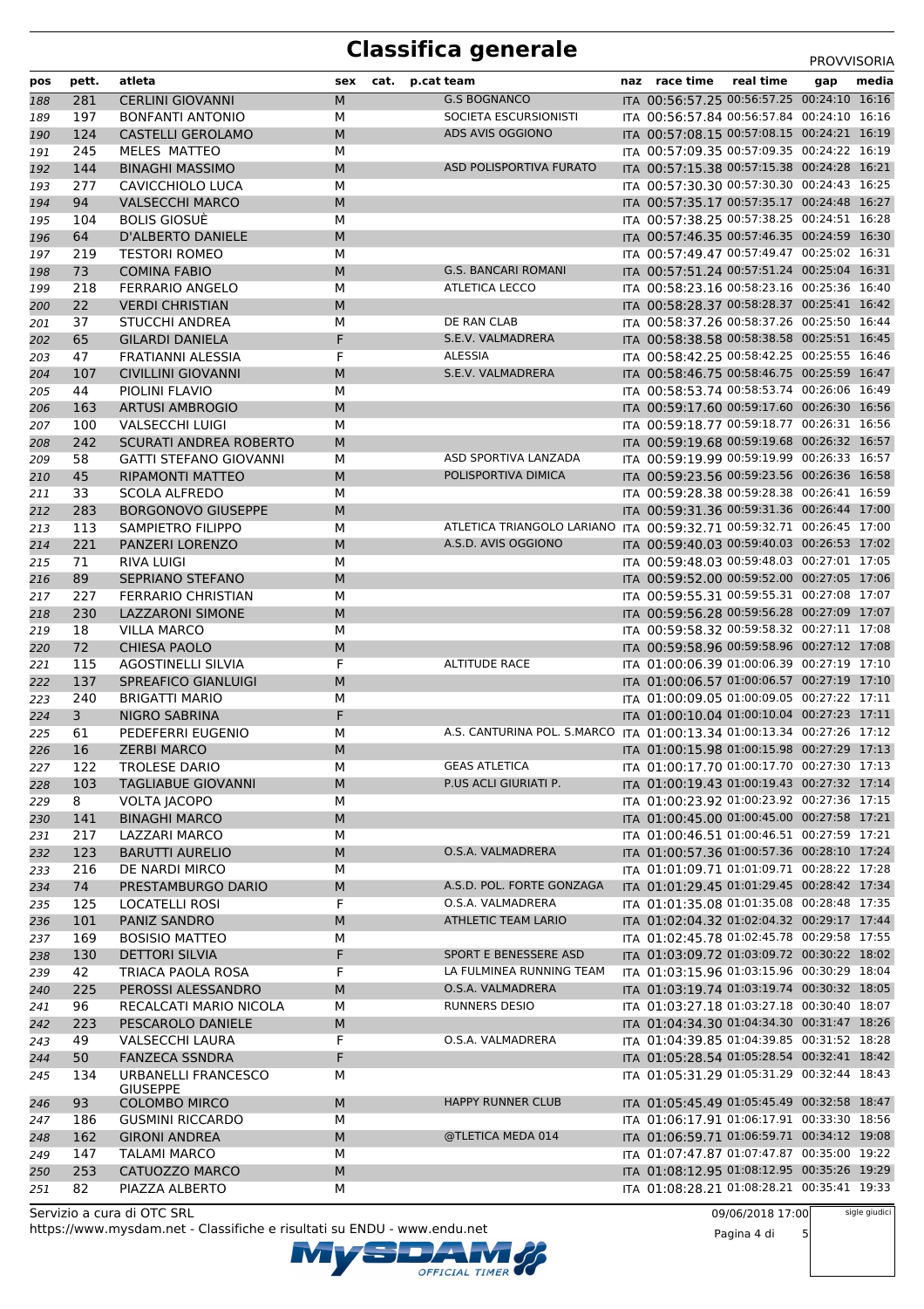#### **Classifica generale** PROVISORIA

|            |           |                                               |        |      |            |                                                                        |                                                                                          |           | <b>PROVVISORIA</b> |       |
|------------|-----------|-----------------------------------------------|--------|------|------------|------------------------------------------------------------------------|------------------------------------------------------------------------------------------|-----------|--------------------|-------|
| pos        | pett.     | atleta                                        | sex    | cat. | p.cat team |                                                                        | naz race time                                                                            | real time | gap                | media |
| 188        | 281       | <b>CERLINI GIOVANNI</b>                       | M      |      |            | <b>G.S BOGNANCO</b>                                                    | ITA 00:56:57.25 00:56:57.25 00:24:10 16:16                                               |           |                    |       |
| 189        | 197       | <b>BONFANTI ANTONIO</b>                       | М      |      |            | SOCIETA ESCURSIONISTI                                                  | ITA 00:56:57.84 00:56:57.84 00:24:10 16:16                                               |           |                    |       |
| 190        | 124       | <b>CASTELLI GEROLAMO</b>                      | M      |      |            | ADS AVIS OGGIONO                                                       | ITA 00:57:08.15 00:57:08.15 00:24:21 16:19                                               |           |                    |       |
| 191        | 245       | MELES MATTEO                                  | M      |      |            |                                                                        | ITA 00:57:09.35 00:57:09.35 00:24:22 16:19                                               |           |                    |       |
| 192        | 144       | <b>BINAGHI MASSIMO</b>                        | M      |      |            | ASD POLISPORTIVA FURATO                                                | ITA 00:57:15.38 00:57:15.38 00:24:28 16:21                                               |           |                    |       |
| 193        | 277       | CAVICCHIOLO LUCA                              | M      |      |            |                                                                        | ITA 00:57:30.30 00:57:30.30 00:24:43 16:25                                               |           |                    |       |
| 194        | 94        | <b>VALSECCHI MARCO</b>                        | M      |      |            |                                                                        | ITA 00:57:35.17 00:57:35.17 00:24:48 16:27                                               |           |                    |       |
| 195        | 104       | <b>BOLIS GIOSUÈ</b>                           | М      |      |            |                                                                        | ITA 00:57:38.25 00:57:38.25 00:24:51 16:28                                               |           |                    |       |
| 196        | 64        | <b>D'ALBERTO DANIELE</b>                      | M      |      |            |                                                                        | ITA 00:57:46.35 00:57:46.35 00:24:59 16:30<br>ITA 00:57:49.47 00:57:49.47 00:25:02 16:31 |           |                    |       |
| 197        | 219<br>73 | <b>TESTORI ROMEO</b>                          | M<br>M |      |            | <b>G.S. BANCARI ROMANI</b>                                             | ITA 00:57:51.24 00:57:51.24 00:25:04 16:31                                               |           |                    |       |
| 198        | 218       | <b>COMINA FABIO</b><br><b>FERRARIO ANGELO</b> |        |      |            | ATLETICA LECCO                                                         | ITA 00:58:23.16 00:58:23.16 00:25:36 16:40                                               |           |                    |       |
| 199<br>200 | 22        | <b>VERDI CHRISTIAN</b>                        | М<br>M |      |            |                                                                        | ITA 00:58:28.37 00:58:28.37 00:25:41 16:42                                               |           |                    |       |
| 201        | 37        | <b>STUCCHI ANDREA</b>                         | M      |      |            | DE RAN CLAB                                                            | ITA 00:58:37.26 00:58:37.26 00:25:50 16:44                                               |           |                    |       |
|            | 65        | <b>GILARDI DANIELA</b>                        | F      |      |            | S.E.V. VALMADRERA                                                      | ITA 00:58:38.58 00:58:38.58 00:25:51 16:45                                               |           |                    |       |
| 202<br>203 | 47        | <b>FRATIANNI ALESSIA</b>                      | F      |      |            | ALESSIA                                                                | ITA 00:58:42.25 00:58:42.25 00:25:55 16:46                                               |           |                    |       |
| 204        | 107       | <b>CIVILLINI GIOVANNI</b>                     | M      |      |            | S.E.V. VALMADRERA                                                      | ITA 00:58:46.75 00:58:46.75 00:25:59 16:47                                               |           |                    |       |
| 205        | 44        | PIOLINI FLAVIO                                | M      |      |            |                                                                        | ITA 00:58:53.74 00:58:53.74 00:26:06 16:49                                               |           |                    |       |
| 206        | 163       | <b>ARTUSI AMBROGIO</b>                        | M      |      |            |                                                                        | ITA 00:59:17.60 00:59:17.60 00:26:30 16:56                                               |           |                    |       |
| 207        | 100       | <b>VALSECCHI LUIGI</b>                        | М      |      |            |                                                                        | ITA 00:59:18.77 00:59:18.77 00:26:31 16:56                                               |           |                    |       |
| 208        | 242       | <b>SCURATI ANDREA ROBERTO</b>                 | M      |      |            |                                                                        | ITA 00:59:19.68 00:59:19.68 00:26:32 16:57                                               |           |                    |       |
| 209        | 58        | <b>GATTI STEFANO GIOVANNI</b>                 | М      |      |            | ASD SPORTIVA LANZADA                                                   | ITA 00:59:19.99 00:59:19.99 00:26:33 16:57                                               |           |                    |       |
| 210        | 45        | RIPAMONTI MATTEO                              | M      |      |            | POLISPORTIVA DIMICA                                                    | ITA 00:59:23.56 00:59:23.56 00:26:36 16:58                                               |           |                    |       |
| 211        | 33        | <b>SCOLA ALFREDO</b>                          | M      |      |            |                                                                        | ITA 00:59:28.38 00:59:28.38 00:26:41 16:59                                               |           |                    |       |
| 212        | 283       | <b>BORGONOVO GIUSEPPE</b>                     | M      |      |            |                                                                        | ITA 00:59:31.36 00:59:31.36 00:26:44 17:00                                               |           |                    |       |
| 213        | 113       | SAMPIETRO FILIPPO                             | М      |      |            | ATLETICA TRIANGOLO LARIANO ITA 00:59:32.71 00:59:32.71 00:26:45 17:00  |                                                                                          |           |                    |       |
| 214        | 221       | PANZERI LORENZO                               | M      |      |            | A.S.D. AVIS OGGIONO                                                    | ITA 00:59:40.03 00:59:40.03 00:26:53 17:02                                               |           |                    |       |
| 215        | 71        | RIVA LUIGI                                    | M      |      |            |                                                                        | ITA 00:59:48.03 00:59:48.03 00:27:01 17:05                                               |           |                    |       |
| 216        | 89        | SEPRIANO STEFANO                              | M      |      |            |                                                                        | ITA 00:59:52.00 00:59:52.00 00:27:05 17:06                                               |           |                    |       |
| 217        | 227       | FERRARIO CHRISTIAN                            | М      |      |            |                                                                        | ITA 00:59:55.31 00:59:55.31 00:27:08 17:07                                               |           |                    |       |
| 218        | 230       | <b>LAZZARONI SIMONE</b>                       | M      |      |            |                                                                        | ITA 00:59:56.28 00:59:56.28 00:27:09 17:07                                               |           |                    |       |
| 219        | 18        | <b>VILLA MARCO</b>                            | М      |      |            |                                                                        | ITA 00:59:58.32 00:59:58.32 00:27:11 17:08                                               |           |                    |       |
| 220        | 72        | <b>CHIESA PAOLO</b>                           | M      |      |            |                                                                        | ITA 00:59:58.96 00:59:58.96 00:27:12 17:08                                               |           |                    |       |
| 221        | 115       | <b>AGOSTINELLI SILVIA</b>                     | F      |      |            | <b>ALTITUDE RACE</b>                                                   | ITA 01:00:06.39 01:00:06.39 00:27:19 17:10                                               |           |                    |       |
| 222        | 137       | <b>SPREAFICO GIANLUIGI</b>                    | M      |      |            |                                                                        | ITA 01:00:06.57 01:00:06.57 00:27:19 17:10                                               |           |                    |       |
| 223        | 240       | <b>BRIGATTI MARIO</b>                         | М      |      |            |                                                                        | ITA 01:00:09.05 01:00:09.05 00:27:22 17:11                                               |           |                    |       |
| 224        | 3         | <b>NIGRO SABRINA</b>                          | F      |      |            |                                                                        | ITA 01:00:10.04 01:00:10.04 00:27:23 17:11                                               |           |                    |       |
| 225        | 61        | PEDEFERRI EUGENIO                             | M      |      |            | A.S. CANTURINA POL. S.MARCO ITA 01:00:13.34 01:00:13.34 00:27:26 17:12 |                                                                                          |           |                    |       |
| 226        | 16        | <b>ZERBI MARCO</b>                            | M      |      |            |                                                                        | ITA 01:00:15.98 01:00:15.98 00:27:29 17:13                                               |           |                    |       |
| 227        | 122       | <b>TROLESE DARIO</b>                          | М      |      |            | <b>GEAS ATLETICA</b>                                                   | ITA 01:00:17.70 01:00:17.70 00:27:30 17:13                                               |           |                    |       |
| 228        | 103       | <b>TAGLIABUE GIOVANNI</b>                     | M      |      |            | P.US ACLI GIURIATI P.                                                  | ITA 01:00:19.43 01:00:19.43 00:27:32 17:14                                               |           |                    |       |
| 229        | 8         | <b>VOLTA JACOPO</b>                           | М      |      |            |                                                                        | ITA 01:00:23.92 01:00:23.92 00:27:36 17:15                                               |           |                    |       |
| 230        | 141       | <b>BINAGHI MARCO</b>                          | М      |      |            |                                                                        | ITA 01:00:45.00 01:00:45.00 00:27:58 17:21                                               |           |                    |       |
| 231        | 217       | <b>LAZZARI MARCO</b>                          | М      |      |            |                                                                        | ITA 01:00:46.51 01:00:46.51 00:27:59 17:21                                               |           |                    |       |
| 232        | 123       | <b>BARUTTI AURELIO</b>                        | М      |      |            | O.S.A. VALMADRERA                                                      | ITA 01:00:57.36 01:00:57.36 00:28:10 17:24                                               |           |                    |       |
| 233        | 216       | DE NARDI MIRCO                                | М      |      |            |                                                                        | ITA 01:01:09.71 01:01:09.71 00:28:22 17:28                                               |           |                    |       |
| 234        | 74        | PRESTAMBURGO DARIO                            | М      |      |            | A.S.D. POL. FORTE GONZAGA                                              | ITA 01:01:29.45 01:01:29.45 00:28:42 17:34                                               |           |                    |       |
| 235        | 125       | LOCATELLI ROSI                                | F      |      |            | O.S.A. VALMADRERA                                                      | ITA 01:01:35.08 01:01:35.08 00:28:48 17:35                                               |           |                    |       |
| 236        | 101       | PANIZ SANDRO                                  | М      |      |            | ATHLETIC TEAM LARIO                                                    | ITA 01:02:04.32 01:02:04.32 00:29:17 17:44                                               |           |                    |       |
| 237        | 169       | <b>BOSISIO MATTEO</b>                         | М      |      |            |                                                                        | ITA 01:02:45.78 01:02:45.78 00:29:58 17:55                                               |           |                    |       |
| 238        | 130       | <b>DETTORI SILVIA</b>                         | F      |      |            | SPORT E BENESSERE ASD                                                  | ITA 01:03:09.72 01:03:09.72 00:30:22 18:02                                               |           |                    |       |
| 239        | 42        | TRIACA PAOLA ROSA                             | F      |      |            | LA FULMINEA RUNNING TEAM                                               | ITA 01:03:15.96 01:03:15.96 00:30:29 18:04                                               |           |                    |       |
| 240        | 225       | PEROSSI ALESSANDRO                            | М      |      |            | O.S.A. VALMADRERA                                                      | ITA 01:03:19.74 01:03:19.74 00:30:32 18:05                                               |           |                    |       |
| 241        | 96        | RECALCATI MARIO NICOLA                        | М      |      |            | RUNNERS DESIO                                                          | ITA 01:03:27.18 01:03:27.18 00:30:40 18:07                                               |           |                    |       |
| 242        | 223       | PESCAROLO DANIELE                             | M      |      |            |                                                                        | ITA 01:04:34.30 01:04:34.30 00:31:47 18:26                                               |           |                    |       |
| 243        | 49        | <b>VALSECCHI LAURA</b>                        | F      |      |            | O.S.A. VALMADRERA                                                      | ITA 01:04:39.85 01:04:39.85 00:31:52 18:28                                               |           |                    |       |
| 244        | 50        | <b>FANZECA SSNDRA</b>                         | F      |      |            |                                                                        | ITA 01:05:28.54 01:05:28.54 00:32:41 18:42                                               |           |                    |       |
| 245        | 134       | URBANELLI FRANCESCO                           | М      |      |            |                                                                        | ITA 01:05:31.29 01:05:31.29 00:32:44 18:43                                               |           |                    |       |
| 246        | 93        | <b>GIUSEPPE</b><br><b>COLOMBO MIRCO</b>       | M      |      |            | <b>HAPPY RUNNER CLUB</b>                                               | ITA 01:05:45.49 01:05:45.49 00:32:58 18:47                                               |           |                    |       |
| 247        | 186       | <b>GUSMINI RICCARDO</b>                       | М      |      |            |                                                                        | ITA 01:06:17.91 01:06:17.91 00:33:30 18:56                                               |           |                    |       |
| 248        | 162       | <b>GIRONI ANDREA</b>                          | M      |      |            | @TLETICA MEDA 014                                                      | ITA 01:06:59.71 01:06:59.71 00:34:12 19:08                                               |           |                    |       |
| 249        | 147       | <b>TALAMI MARCO</b>                           | М      |      |            |                                                                        | ITA 01:07:47.87 01:07:47.87 00:35:00 19:22                                               |           |                    |       |
| 250        | 253       | CATUOZZO MARCO                                | M      |      |            |                                                                        | ITA 01:08:12.95 01:08:12.95 00:35:26 19:29                                               |           |                    |       |
| 251        | 82        | PIAZZA ALBERTO                                | М      |      |            |                                                                        | ITA 01:08:28.21 01:08:28.21 00:35:41 19:33                                               |           |                    |       |
|            |           |                                               |        |      |            |                                                                        |                                                                                          |           |                    |       |

https://www.mysdam.net - Classifiche e risultati su ENDU - www.endu.net Servizio a cura di OTC SRL